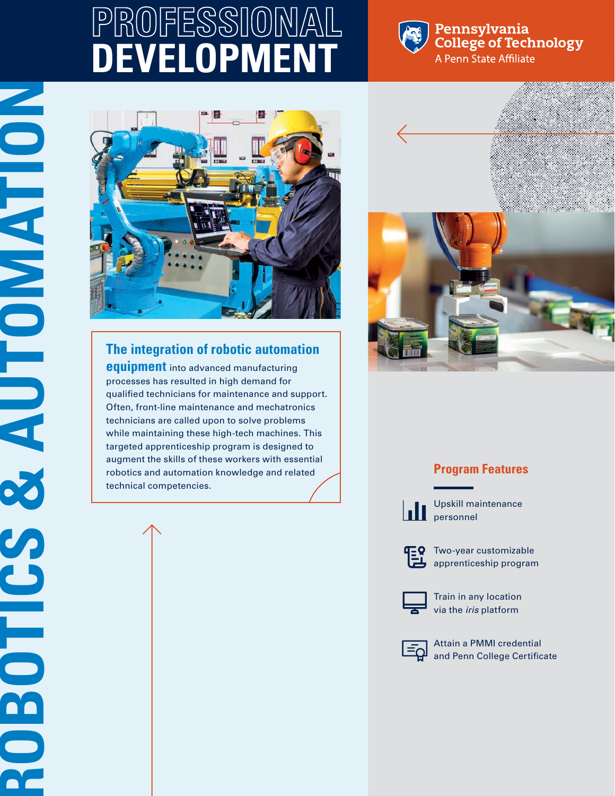# **PROFESSIONAL DEVELOPMEN**



### Pennsylvania **College of Technology** A Penn State Affiliate



## **The integration of robotic automation**

**equipment** into advanced manufacturing processes has resulted in high demand for qualified technicians for maintenance and support. Often, front-line maintenance and mechatronics technicians are called upon to solve problems while maintaining these high-tech machines. This targeted apprenticeship program is designed to augment the skills of these workers with essential robotics and automation knowledge and related technical competencies.



## **Program Features**



Upskill maintenance **personnel** 



**TEQ** Two-year customizable apprenticeship program



Train in any location via the *iris* platform



Attain a PMMI credential and Penn College Certificate